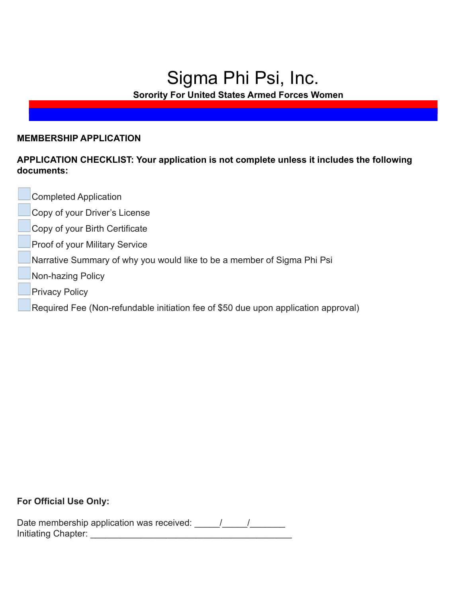## Sigma Phi Psi, Inc.

**Sorority For United States Armed Forces Women**

#### **MEMBERSHIP APPLICATION**

### **APPLICATION CHECKLIST: Your application is not complete unless it includes the following documents:**

- Completed Application
- Copy of your Driver's License
- Copy of your Birth Certificate
- Proof of your Military Service
- Narrative Summary of why you would like to be a member of Sigma Phi Psi
- Non-hazing Policy
- Privacy Policy
- Required Fee (Non-refundable initiation fee of \$50 due upon application approval)

#### **For Official Use Only:**

| Date membership application was received: |  |
|-------------------------------------------|--|
| Initiating Chapter:                       |  |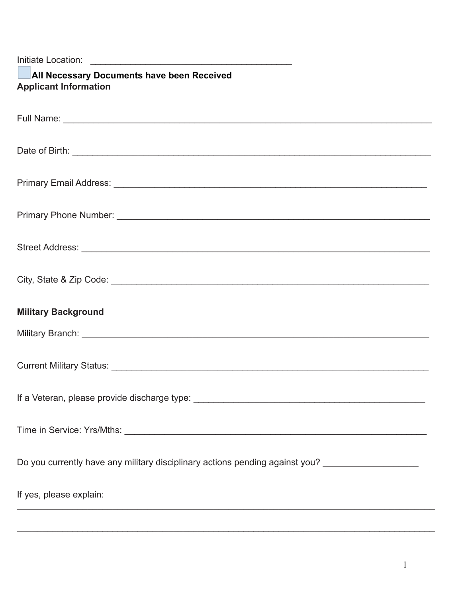| All Necessary Documents have been Received<br><b>Applicant Information</b>                          |
|-----------------------------------------------------------------------------------------------------|
|                                                                                                     |
|                                                                                                     |
|                                                                                                     |
|                                                                                                     |
|                                                                                                     |
|                                                                                                     |
| <b>Military Background</b>                                                                          |
|                                                                                                     |
|                                                                                                     |
|                                                                                                     |
|                                                                                                     |
| Do you currently have any military disciplinary actions pending against you? ______________________ |
| If yes, please explain:                                                                             |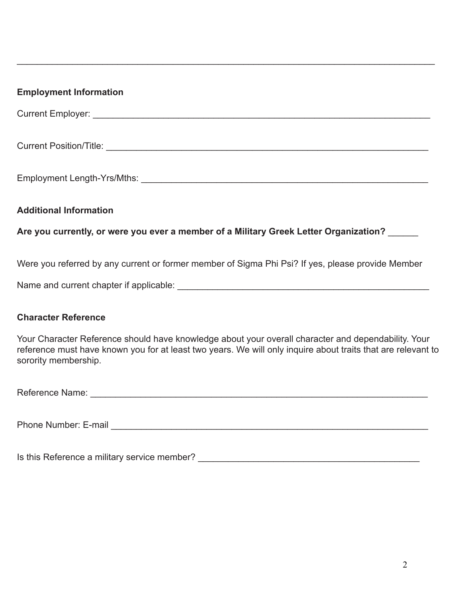# **Employment Information** Current Employer: \_\_\_\_\_\_\_\_\_\_\_\_\_\_\_\_\_\_\_\_\_\_\_\_\_\_\_\_\_\_\_\_\_\_\_\_\_\_\_\_\_\_\_\_\_\_\_\_\_\_\_\_\_\_\_\_\_\_\_\_\_\_\_\_\_\_\_ Current Position/Title: \_\_\_\_\_\_\_\_\_\_\_\_\_\_\_\_\_\_\_\_\_\_\_\_\_\_\_\_\_\_\_\_\_\_\_\_\_\_\_\_\_\_\_\_\_\_\_\_\_\_\_\_\_\_\_\_\_\_\_\_\_\_\_\_ Employment Length-Yrs/Mths: \_\_\_\_\_\_\_\_\_\_\_\_\_\_\_\_\_\_\_\_\_\_\_\_\_\_\_\_\_\_\_\_\_\_\_\_\_\_\_\_\_\_\_\_\_\_\_\_\_\_\_\_\_\_\_\_\_ **Additional Information Are you currently, or were you ever a member of a Military Greek Letter Organization?** \_\_\_\_\_\_ Were you referred by any current or former member of Sigma Phi Psi? If yes, please provide Member Name and current chapter if applicable:  $\blacksquare$ **Character Reference**

 $\_$ 

Your Character Reference should have knowledge about your overall character and dependability. Your reference must have known you for at least two years. We will only inquire about traits that are relevant to sorority membership.

| Reference Name: |  |
|-----------------|--|
|                 |  |

Phone Number: E-mail **Example 20** Figure 20 Figure 20 Figure 20 Figure 20 Figure 20 Figure 20 Figure 20 Figure 20 Figure 20 Figure 20 Figure 20 Figure 20 Figure 20 Figure 20 Figure 20 Figure 20 Figure 20 Figure 20 Figure 2

Is this Reference a military service member? \_\_\_\_\_\_\_\_\_\_\_\_\_\_\_\_\_\_\_\_\_\_\_\_\_\_\_\_\_\_\_\_\_\_\_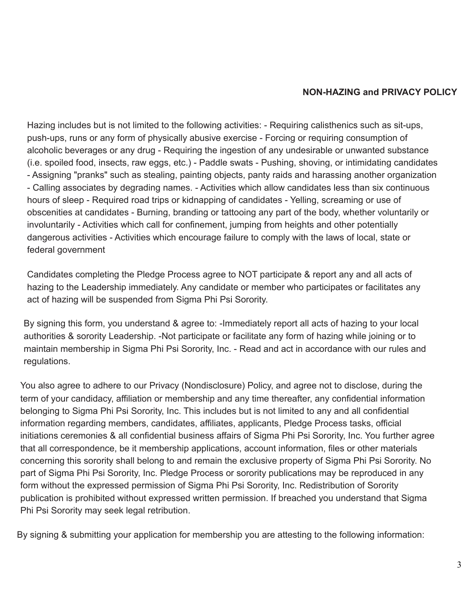#### **NON-HAZING and PRIVACY POLICY**

Hazing includes but is not limited to the following activities: - Requiring calisthenics such as sit-ups, push-ups, runs or any form of physically abusive exercise - Forcing or requiring consumption of alcoholic beverages or any drug - Requiring the ingestion of any undesirable or unwanted substance (i.e. spoiled food, insects, raw eggs, etc.) - Paddle swats - Pushing, shoving, or intimidating candidates - Assigning "pranks" such as stealing, painting objects, panty raids and harassing another organization - Calling associates by degrading names. - Activities which allow candidates less than six continuous hours of sleep - Required road trips or kidnapping of candidates - Yelling, screaming or use of obscenities at candidates - Burning, branding or tattooing any part of the body, whether voluntarily or involuntarily - Activities which call for confinement, jumping from heights and other potentially dangerous activities - Activities which encourage failure to comply with the laws of local, state or federal government

Candidates completing the Pledge Process agree to NOT participate & report any and all acts of hazing to the Leadership immediately. Any candidate or member who participates or facilitates any act of hazing will be suspended from Sigma Phi Psi Sorority.

By signing this form, you understand & agree to: -Immediately report all acts of hazing to your local authorities & sorority Leadership. -Not participate or facilitate any form of hazing while joining or to maintain membership in Sigma Phi Psi Sorority, Inc. - Read and act in accordance with our rules and regulations.

You also agree to adhere to our Privacy (Nondisclosure) Policy, and agree not to disclose, during the term of your candidacy, affiliation or membership and any time thereafter, any confidential information belonging to Sigma Phi Psi Sorority, Inc. This includes but is not limited to any and all confidential information regarding members, candidates, affiliates, applicants, Pledge Process tasks, official initiations ceremonies & all confidential business affairs of Sigma Phi Psi Sorority, Inc. You further agree that all correspondence, be it membership applications, account information, files or other materials concerning this sorority shall belong to and remain the exclusive property of Sigma Phi Psi Sorority. No part of Sigma Phi Psi Sorority, Inc. Pledge Process or sorority publications may be reproduced in any form without the expressed permission of Sigma Phi Psi Sorority, Inc. Redistribution of Sorority publication is prohibited without expressed written permission. If breached you understand that Sigma Phi Psi Sorority may seek legal retribution.

By signing & submitting your application for membership you are attesting to the following information: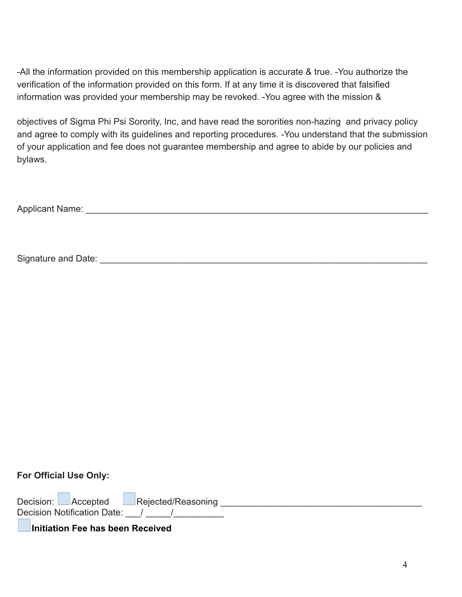-All the information provided on this membership application is accurate & true. -You authorize the verification of the information provided on this form. If at any time it is discovered that falsified information was provided your membership may be revoked. -You agree with the mission &

objectives of Sigma Phi Psi Sorority, Inc, and have read the sororities non-hazing and privacy policy and agree to comply with its guidelines and reporting procedures. -You understand that the submission of your application and fee does not guarantee membership and agree to abide by our policies and bylaws.

Applicant Name: \_\_\_\_\_\_\_\_\_\_\_\_\_\_\_\_\_\_\_\_\_\_\_\_\_\_\_\_\_\_\_\_\_\_\_\_\_\_\_\_\_\_\_\_\_\_\_\_\_\_\_\_\_\_\_\_\_\_\_\_\_\_\_\_\_\_\_\_

Signature and Date:  $\Box$ 

#### **For Official Use Only:**

Decision: **Accepted Rejected/Reasoning Referred** 2014 **References** Decision Notification Date:  $\frac{1}{2}$ 

**Initiation Fee has been Received**